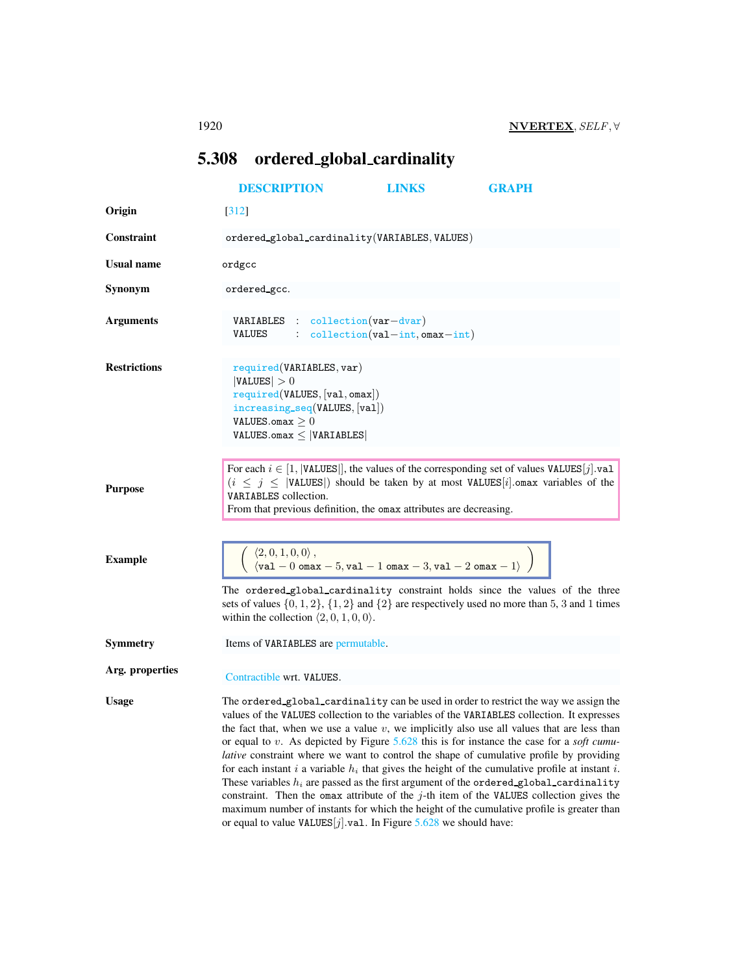## <span id="page-0-0"></span>5.308 ordered global cardinality

|                     | <b>DESCRIPTION</b>                                                                                                                                                                                                                                                                                                                                                                                                                                                                                                                                                                                                                                                                                                                                                                                                                                                                                                                                               | <b>LINKS</b>                          | <b>GRAPH</b> |
|---------------------|------------------------------------------------------------------------------------------------------------------------------------------------------------------------------------------------------------------------------------------------------------------------------------------------------------------------------------------------------------------------------------------------------------------------------------------------------------------------------------------------------------------------------------------------------------------------------------------------------------------------------------------------------------------------------------------------------------------------------------------------------------------------------------------------------------------------------------------------------------------------------------------------------------------------------------------------------------------|---------------------------------------|--------------|
| Origin              | $[312]$                                                                                                                                                                                                                                                                                                                                                                                                                                                                                                                                                                                                                                                                                                                                                                                                                                                                                                                                                          |                                       |              |
| <b>Constraint</b>   | ordered_global_cardinality(VARIABLES, VALUES)                                                                                                                                                                                                                                                                                                                                                                                                                                                                                                                                                                                                                                                                                                                                                                                                                                                                                                                    |                                       |              |
| <b>Usual name</b>   | ordgcc                                                                                                                                                                                                                                                                                                                                                                                                                                                                                                                                                                                                                                                                                                                                                                                                                                                                                                                                                           |                                       |              |
| Synonym             | ordered gcc.                                                                                                                                                                                                                                                                                                                                                                                                                                                                                                                                                                                                                                                                                                                                                                                                                                                                                                                                                     |                                       |              |
| <b>Arguments</b>    | $VARIABLES : collection(var-dvar)$<br>VALUES                                                                                                                                                                                                                                                                                                                                                                                                                                                                                                                                                                                                                                                                                                                                                                                                                                                                                                                     | $\text{collection}(val-int,omax-int)$ |              |
| <b>Restrictions</b> | required(VARIABLES, var)<br> VALUES  > 0<br>required(VALUES, [val, omax])<br>$increasing\_seq(VALUES, [val])$<br>VALUES.omax $\geq 0$<br>$\mathtt{VALUES}.\mathtt{omax} \leq  \mathtt{VARIABLES} $                                                                                                                                                                                                                                                                                                                                                                                                                                                                                                                                                                                                                                                                                                                                                               |                                       |              |
| <b>Purpose</b>      | For each $i \in [1,  \text{VALUES} ]$ , the values of the corresponding set of values VALUES $[j].\text{val}$<br>$(i \leq j \leq  VALUES )$ should be taken by at most VALUES [i] omax variables of the<br>VARIABLES collection.<br>From that previous definition, the omax attributes are decreasing.                                                                                                                                                                                                                                                                                                                                                                                                                                                                                                                                                                                                                                                           |                                       |              |
| <b>Example</b>      | $\begin{array}{l} \displaystyle \langle 2,0,1,0,0\rangle\,, \\ \displaystyle \langle \verb val -\nobreak 0\> \verb max -\nobreak 5\>,\verb val -\nobreak 1\> \verb max \,-\nobreak 3\>,\verb val \,-\nobreak 2\> \verb max \,-\nobreak 1\,\rangle \end{array}\bigg)$<br>The ordered_global_cardinality constraint holds since the values of the three<br>sets of values $\{0, 1, 2\}$ , $\{1, 2\}$ and $\{2\}$ are respectively used no more than 5, 3 and 1 times<br>within the collection $\langle 2, 0, 1, 0, 0 \rangle$ .                                                                                                                                                                                                                                                                                                                                                                                                                                    |                                       |              |
| <b>Symmetry</b>     | Items of VARIABLES are permutable.                                                                                                                                                                                                                                                                                                                                                                                                                                                                                                                                                                                                                                                                                                                                                                                                                                                                                                                               |                                       |              |
| Arg. properties     | Contractible wrt. VALUES.                                                                                                                                                                                                                                                                                                                                                                                                                                                                                                                                                                                                                                                                                                                                                                                                                                                                                                                                        |                                       |              |
| <b>Usage</b>        | The ordered_global_cardinality can be used in order to restrict the way we assign the<br>values of the VALUES collection to the variables of the VARIABLES collection. It expresses<br>the fact that, when we use a value $v$ , we implicitly also use all values that are less than<br>or equal to v. As depicted by Figure $5.628$ this is for instance the case for a <i>soft cumu</i> -<br>lative constraint where we want to control the shape of cumulative profile by providing<br>for each instant $i$ a variable $h_i$ that gives the height of the cumulative profile at instant $i$ .<br>These variables $h_i$ are passed as the first argument of the ordered global cardinality<br>constraint. Then the omax attribute of the $j$ -th item of the VALUES collection gives the<br>maximum number of instants for which the height of the cumulative profile is greater than<br>or equal to value VALUES $[j]$ . val. In Figure 5.628 we should have: |                                       |              |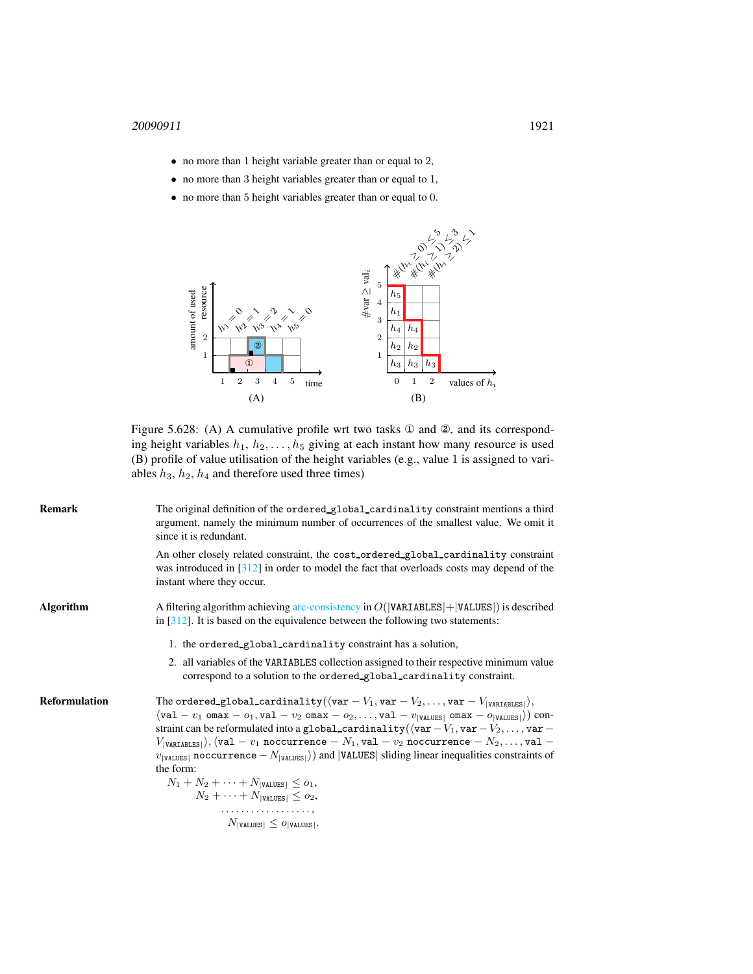- no more than 1 height variable greater than or equal to 2,
- no more than 3 height variables greater than or equal to 1,
- no more than 5 height variables greater than or equal to 0.



<span id="page-1-0"></span>Figure 5.628: (A) A cumulative profile wrt two tasks ① and ②, and its corresponding height variables  $h_1, h_2, \ldots, h_5$  giving at each instant how many resource is used (B) profile of value utilisation of the height variables (e.g., value 1 is assigned to variables  $h_3$ ,  $h_2$ ,  $h_4$  and therefore used three times)

| <b>Remark</b>        | The original definition of the ordered global cardinality constraint mentions a third<br>argument, namely the minimum number of occurrences of the smallest value. We omit it<br>since it is redundant.                                                                                                                                                                                                                                                                                                                                                                                                                                                                                                                                                                                                                                                                                                                              |
|----------------------|--------------------------------------------------------------------------------------------------------------------------------------------------------------------------------------------------------------------------------------------------------------------------------------------------------------------------------------------------------------------------------------------------------------------------------------------------------------------------------------------------------------------------------------------------------------------------------------------------------------------------------------------------------------------------------------------------------------------------------------------------------------------------------------------------------------------------------------------------------------------------------------------------------------------------------------|
|                      | An other closely related constraint, the cost_ordered_global_cardinality constraint<br>was introduced in $[312]$ in order to model the fact that overloads costs may depend of the<br>instant where they occur.                                                                                                                                                                                                                                                                                                                                                                                                                                                                                                                                                                                                                                                                                                                      |
| <b>Algorithm</b>     | A filtering algorithm achieving arc-consistency in $O( VARIABLES  +  VALUES )$ is described<br>in $\lceil 312 \rceil$ . It is based on the equivalence between the following two statements:                                                                                                                                                                                                                                                                                                                                                                                                                                                                                                                                                                                                                                                                                                                                         |
|                      | 1. the ordered global cardinality constraint has a solution,                                                                                                                                                                                                                                                                                                                                                                                                                                                                                                                                                                                                                                                                                                                                                                                                                                                                         |
|                      | 2. all variables of the VARIABLES collection assigned to their respective minimum value<br>correspond to a solution to the ordered global cardinality constraint.                                                                                                                                                                                                                                                                                                                                                                                                                                                                                                                                                                                                                                                                                                                                                                    |
| <b>Reformulation</b> | The ordered_global_cardinality( $\langle \text{var} - V_1, \text{var} - V_2, \ldots, \text{var} - V_{\text{VARIABLES}} \rangle$ ),<br>$\langle val - v_1 \text{ } \text{max} - o_1 \text{ } , \text{val} - v_2 \text{ } \text{max} - o_2 \text{ } , \ldots \text{ } , \text{val} - v_{\text{[VALUES]}} \text{ } \text{ } \text{omax} - o_{\text{[VALUES]}} \rangle \text{ } \text{con-}$<br>straint can be reformulated into a global_cardinality( $\langle var -V_1, var -V_2, \ldots, var -$<br>$\langle V_{\texttt{[VARIABLES]}} \rangle$ , $\langle \mathtt{val} - v_1 \text{ noacurrence} - N_1, \mathtt{val} - v_2 \text{ noacurrence} - N_2, \ldots, \mathtt{val} - v_1 \rangle$<br>$v_{ \text{VALUES} }$ noccurrence $-N_{ \text{VALUES} }$ ) and  VALUES  sliding linear inequalities constraints of<br>the form:<br>$N_1 + N_2 + \cdots + N_{ \text{VALUES} } \leq o_1,$<br>$N_2 + \cdots + N_{ \text{VALUES} } \leq o_2,$ |
|                      | $N_{\text{ \texttt{VALUES} }} \leq o_{\text{ \texttt{VALUES} }}.$                                                                                                                                                                                                                                                                                                                                                                                                                                                                                                                                                                                                                                                                                                                                                                                                                                                                    |
|                      |                                                                                                                                                                                                                                                                                                                                                                                                                                                                                                                                                                                                                                                                                                                                                                                                                                                                                                                                      |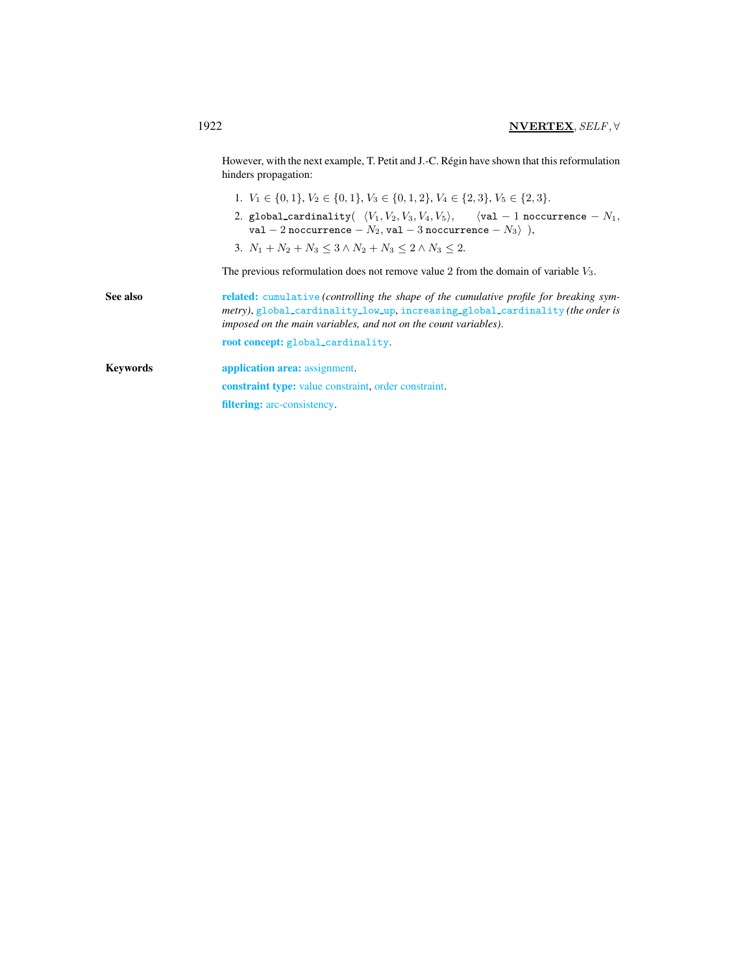However, with the next example, T. Petit and J.-C. Régin have shown that this reformulation hinders propagation:

- 1.  $V_1 \in \{0, 1\}, V_2 \in \{0, 1\}, V_3 \in \{0, 1, 2\}, V_4 \in \{2, 3\}, V_5 \in \{2, 3\}.$
- 2. global\_cardinality $(\;\; \langle V_1, V_2, V_3, V_4, V_5\rangle, \quad \;\; \langle \texttt{val 1 noccurrence } N_1,$ val  $-$  2 noccurrence  $-\mathit{N}_2,$  val  $-$  3 noccurrence  $-\mathit{N}_3\rangle$   $\left. \right),$
- 3.  $N_1 + N_2 + N_3 \leq 3 \wedge N_2 + N_3 \leq 2 \wedge N_3 \leq 2$ .

The previous reformulation does not remove value 2 from the domain of variable V3.

<span id="page-2-0"></span>See also related: cumulative (controlling the shape of the cumulative profile for breaking sym*metry)*, global cardinality low up, increasing global cardinality *(the order is imposed on the main variables, and not on the count variables)*. root concept: global\_cardinality. Keywords **application area:** assignment. constraint type: value constraint, order constraint. filtering: arc-consistency.